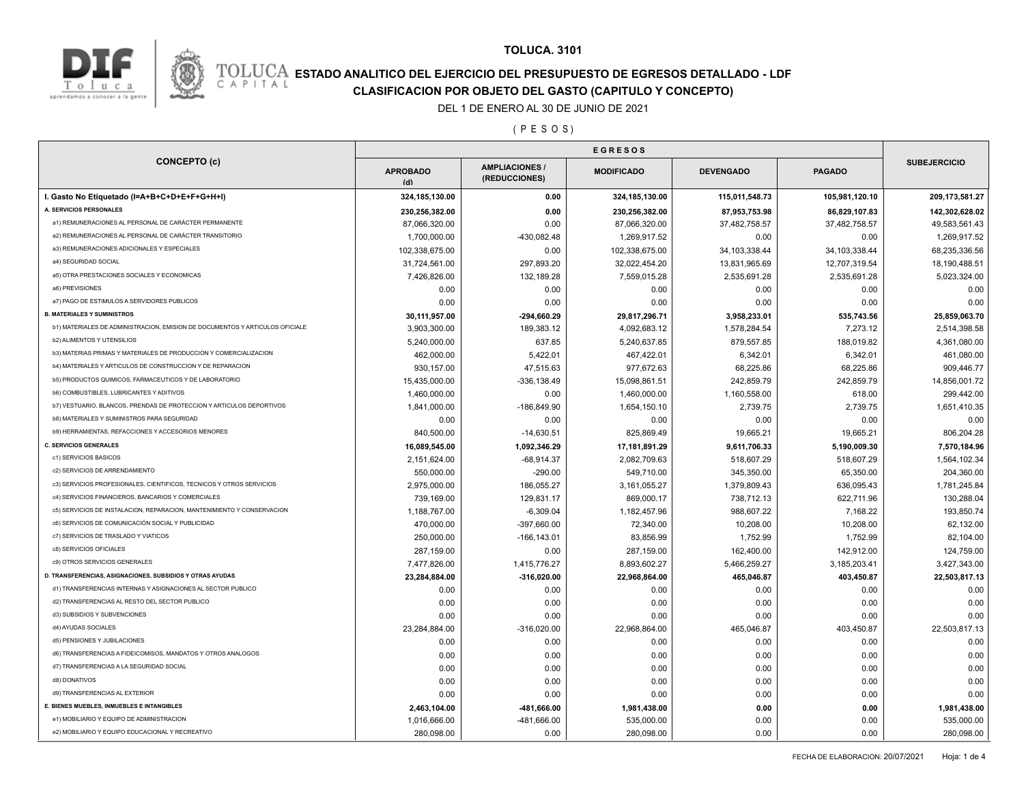



## **ESTADO ANALITICO DEL EJERCICIO DEL PRESUPUESTO DE EGRESOS DETALLADO - LDF**<br>CAPITAL CIASIFICACION POR OBJETO DEL GASTO (CAPITULO Y CONCEPTO) **CLASIFICACION POR OBJETO DEL GASTO (CAPITULO Y CONCEPTO)**

#### DEL 1 DE ENERO AL 30 DE JUNIO DE 2021

( P E S O S )

| <b>CONCEPTO (c)</b>                                                          | <b>EGRESOS</b>         |                                        |                   |                  |                 |                     |
|------------------------------------------------------------------------------|------------------------|----------------------------------------|-------------------|------------------|-----------------|---------------------|
|                                                                              | <b>APROBADO</b><br>(d) | <b>AMPLIACIONES /</b><br>(REDUCCIONES) | <b>MODIFICADO</b> | <b>DEVENGADO</b> | <b>PAGADO</b>   | <b>SUBEJERCICIO</b> |
| I. Gasto No Etiquetado (I=A+B+C+D+E+F+G+H+I)                                 | 324, 185, 130.00       | 0.00                                   | 324,185,130.00    | 115,011,548.73   | 105,981,120.10  | 209, 173, 581.27    |
| A. SERVICIOS PERSONALES                                                      | 230,256,382.00         | 0.00                                   | 230,256,382.00    | 87,953,753.98    | 86,829,107.83   | 142,302,628.02      |
| a1) REMUNERACIONES AL PERSONAL DE CARÁCTER PERMANENTE                        | 87,066,320.00          | 0.00                                   | 87,066,320.00     | 37,482,758.57    | 37,482,758.57   | 49,583,561.43       |
| a2) REMUNERACIONES AL PERSONAL DE CARÁCTER TRANSITORIO                       | 1,700,000.00           | -430,082.48                            | 1,269,917.52      | 0.00             | 0.00            | 1,269,917.52        |
| a3) REMUNERACIONES ADICIONALES Y ESPECIALES                                  | 102,338,675.00         | 0.00                                   | 102,338,675.00    | 34, 103, 338.44  | 34, 103, 338.44 | 68,235,336.56       |
| a4) SEGURIDAD SOCIAL                                                         | 31,724,561.00          | 297,893.20                             | 32,022,454.20     | 13,831,965.69    | 12,707,319.54   | 18,190,488.51       |
| a5) OTRA PRESTACIONES SOCIALES Y ECONOMICAS                                  | 7,426,826.00           | 132,189.28                             | 7,559,015.28      | 2,535,691.28     | 2,535,691.28    | 5,023,324.00        |
| a6) PREVISIONES                                                              | 0.00                   | 0.00                                   | 0.00              | 0.00             | 0.00            | 0.00                |
| a7) PAGO DE ESTIMULOS A SERVIDORES PUBLICOS                                  | 0.00                   | 0.00                                   | 0.00              | 0.00             | 0.00            | 0.00                |
| <b>B. MATERIALES Y SUMINISTROS</b>                                           | 30,111,957.00          | $-294,660.29$                          | 29,817,296.71     | 3,958,233.01     | 535,743.56      | 25,859,063.70       |
| b1) MATERIALES DE ADMINISTRACION, EMISION DE DOCUMENTOS Y ARTICULOS OFICIALE | 3,903,300.00           | 189,383.12                             | 4,092,683.12      | 1,578,284.54     | 7,273.12        | 2,514,398.58        |
| <b>b2) ALIMENTOS Y UTENSILIOS</b>                                            | 5,240,000.00           | 637.85                                 | 5,240,637.85      | 879,557.85       | 188,019.82      | 4,361,080.00        |
| b3) MATERIAS PRIMAS Y MATERIALES DE PRODUCCION Y COMERCIALIZACION            | 462,000.00             | 5,422.01                               | 467,422.01        | 6,342.01         | 6,342.01        | 461,080.00          |
| b4) MATERIALES Y ARTICULOS DE CONSTRUCCION Y DE REPARACION                   | 930,157.00             | 47,515.63                              | 977,672.63        | 68,225.86        | 68,225.86       | 909,446.77          |
| b5) PRODUCTOS QUIMICOS, FARMACEUTICOS Y DE LABORATORIO                       | 15,435,000.00          | $-336, 138.49$                         | 15,098,861.51     | 242,859.79       | 242,859.79      | 14,856,001.72       |
| <b>b6) COMBUSTIBLES, LUBRICANTES Y ADITIVOS</b>                              | 1,460,000.00           | 0.00                                   | 1,460,000.00      | 1,160,558.00     | 618.00          | 299,442.00          |
| b7) VESTUARIO, BLANCOS, PRENDAS DE PROTECCION Y ARTICULOS DEPORTIVOS         | 1,841,000.00           | $-186,849.90$                          | 1,654,150.10      | 2,739.75         | 2,739.75        | 1,651,410.35        |
| <b>b8) MATERIALES Y SUMINISTROS PARA SEGURIDAD</b>                           | 0.00                   | 0.00                                   | 0.00              | 0.00             | 0.00            | 0.00                |
| b9) HERRAMIENTAS, REFACCIONES Y ACCESORIOS MENORES                           | 840,500.00             | $-14,630.51$                           | 825,869.49        | 19,665.21        | 19,665.21       | 806,204.28          |
| <b>C. SERVICIOS GENERALES</b>                                                | 16,089,545.00          | 1,092,346.29                           | 17,181,891.29     | 9,611,706.33     | 5,190,009.30    | 7,570,184.96        |
| c1) SERVICIOS BASICOS                                                        | 2,151,624.00           | $-68,914.37$                           | 2,082,709.63      | 518,607.29       | 518,607.29      | 1,564,102.34        |
| c2) SERVICIOS DE ARRENDAMIENTO                                               | 550,000.00             | $-290.00$                              | 549,710.00        | 345,350.00       | 65,350.00       | 204,360.00          |
| c3) SERVICIOS PROFESIONALES, CIENTIFICOS, TECNICOS Y OTROS SERVICIOS         | 2,975,000.00           | 186,055.27                             | 3,161,055.27      | 1,379,809.43     | 636,095.43      | 1,781,245.84        |
| c4) SERVICIOS FINANCIEROS, BANCARIOS Y COMERCIALES                           | 739,169.00             | 129,831.17                             | 869,000.17        | 738,712.13       | 622,711.96      | 130,288.04          |
| c5) SERVICIOS DE INSTALACION, REPARACION, MANTENIMIENTO Y CONSERVACION       | 1,188,767.00           | $-6,309.04$                            | 1,182,457.96      | 988,607.22       | 7,168.22        | 193,850.74          |
| c6) SERVICIOS DE COMUNICACIÓN SOCIAL Y PUBLICIDAD                            | 470,000.00             | $-397,660.00$                          | 72,340.00         | 10,208.00        | 10,208.00       | 62,132.00           |
| c7) SERVICIOS DE TRASLADO Y VIATICOS                                         | 250,000.00             | $-166, 143.01$                         | 83,856.99         | 1,752.99         | 1,752.99        | 82,104.00           |
| c8) SERVICIOS OFICIALES                                                      | 287,159.00             | 0.00                                   | 287,159.00        | 162,400.00       | 142,912.00      | 124,759.00          |
| c9) OTROS SERVICIOS GENERALES                                                | 7,477,826.00           | 1,415,776.27                           | 8,893,602.27      | 5,466,259.27     | 3,185,203.41    | 3,427,343.00        |
| D. TRANSFERENCIAS, ASIGNACIONES, SUBSIDIOS Y OTRAS AYUDAS                    | 23,284,884.00          | $-316,020.00$                          | 22,968,864.00     | 465,046.87       | 403,450.87      | 22,503,817.13       |
| d1) TRANSFERENCIAS INTERNAS Y ASIGNACIONES AL SECTOR PUBLICO                 | 0.00                   | 0.00                                   | 0.00              | 0.00             | 0.00            | 0.00                |
| d2) TRANSFERENCIAS AL RESTO DEL SECTOR PUBLICO                               | 0.00                   | 0.00                                   | 0.00              | 0.00             | 0.00            | 0.00                |
| d3) SUBSIDIOS Y SUBVENCIONES                                                 | 0.00                   | 0.00                                   | 0.00              | 0.00             | 0.00            | 0.00                |
| d4) AYUDAS SOCIALES                                                          | 23,284,884.00          | $-316,020.00$                          | 22,968,864.00     | 465,046.87       | 403,450.87      | 22,503,817.13       |
| d5) PENSIONES Y JUBILACIONES                                                 | 0.00                   | 0.00                                   | 0.00              | 0.00             | 0.00            | 0.00                |
| d6) TRANSFERENCIAS A FIDEICOMISOS, MANDATOS Y OTROS ANALOGOS                 | 0.00                   | 0.00                                   | 0.00              | 0.00             | 0.00            | 0.00                |
| d7) TRANSFERENCIAS A LA SEGURIDAD SOCIAL                                     | 0.00                   | 0.00                                   | 0.00              | 0.00             | 0.00            | 0.00                |
| d8) DONATIVOS                                                                | 0.00                   | 0.00                                   | 0.00              | 0.00             | 0.00            | 0.00                |
| d9) TRANSFERENCIAS AL EXTERIOR                                               | 0.00                   | 0.00                                   | 0.00              | 0.00             | 0.00            | 0.00                |
| E. BIENES MUEBLES, INMUEBLES E INTANGIBLES                                   | 2,463,104.00           | -481,666.00                            | 1,981,438.00      | 0.00             | 0.00            | 1,981,438.00        |
| e1) MOBILIARIO Y EQUIPO DE ADMINISTRACION                                    | 1,016,666.00           | -481,666.00                            | 535,000.00        | 0.00             | 0.00            | 535,000.00          |
| e2) MOBILIARIO Y EQUIPO EDUCACIONAL Y RECREATIVO                             | 280,098.00             | 0.00                                   | 280,098.00        | 0.00             | 0.00            | 280,098.00          |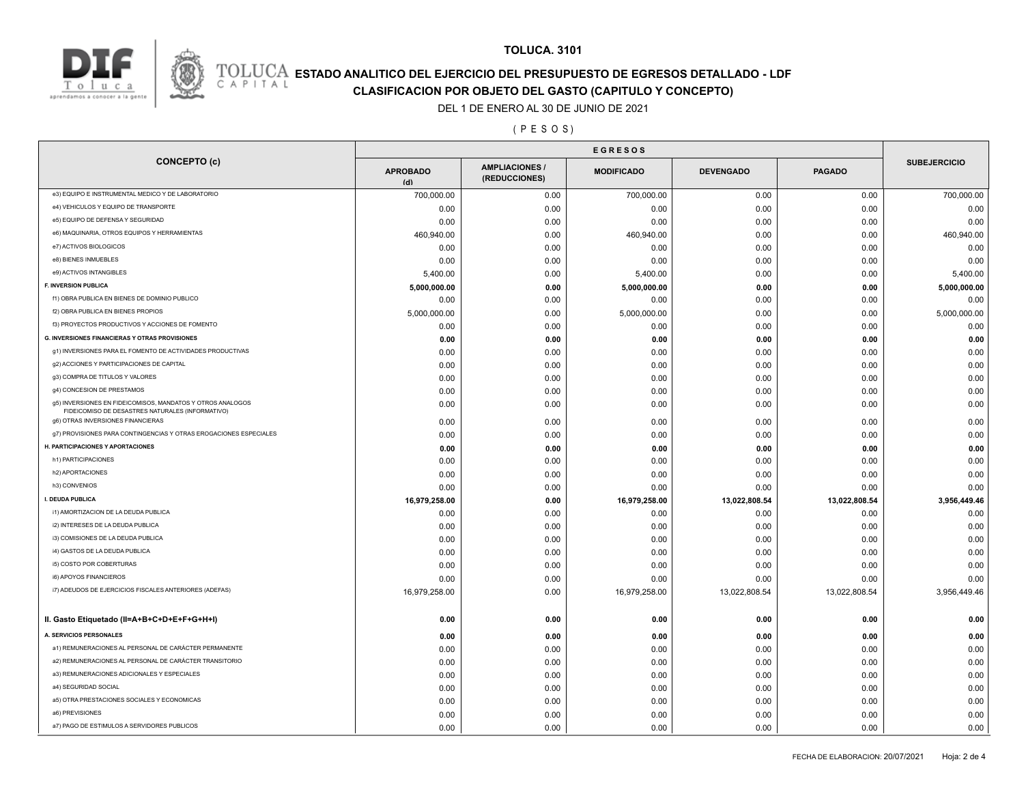



## **TOLUCA. 3101**

## **ESTADO ANALITICO DEL EJERCICIO DEL PRESUPUESTO DE EGRESOS DETALLADO - LDF**<br>CAPITAL CIASIFICACION POR OBJETO DEL GASTO (CAPITULO Y CONCEPTO) **CLASIFICACION POR OBJETO DEL GASTO (CAPITULO Y CONCEPTO)**

#### DEL 1 DE ENERO AL 30 DE JUNIO DE 2021

( P E S O S )

| <b>CONCEPTO (c)</b>                                                                                            | <b>APROBADO</b><br>(d) | <b>AMPLIACIONES /</b><br>(REDUCCIONES) | <b>MODIFICADO</b> | <b>DEVENGADO</b> | <b>PAGADO</b> | <b>SUBEJERCICIO</b> |
|----------------------------------------------------------------------------------------------------------------|------------------------|----------------------------------------|-------------------|------------------|---------------|---------------------|
| e3) EQUIPO E INSTRUMENTAL MEDICO Y DE LABORATORIO                                                              | 700,000.00             | 0.00                                   | 700,000.00        | 0.00             | 0.00          | 700,000.00          |
| e4) VEHICULOS Y EQUIPO DE TRANSPORTE                                                                           | 0.00                   | 0.00                                   | 0.00              | 0.00             | 0.00          | 0.00                |
| e5) EQUIPO DE DEFENSA Y SEGURIDAD                                                                              | 0.00                   | 0.00                                   | 0.00              | 0.00             | 0.00          | 0.00                |
| e6) MAQUINARIA, OTROS EQUIPOS Y HERRAMIENTAS                                                                   | 460,940.00             | 0.00                                   | 460,940.00        | 0.00             | 0.00          | 460,940.00          |
| e7) ACTIVOS BIOLOGICOS                                                                                         | 0.00                   | 0.00                                   | 0.00              | 0.00             | 0.00          | 0.00                |
| e8) BIENES INMUEBLES                                                                                           | 0.00                   | 0.00                                   | 0.00              | 0.00             | 0.00          | 0.00                |
| e9) ACTIVOS INTANGIBLES                                                                                        | 5,400.00               | 0.00                                   | 5,400.00          | 0.00             | 0.00          | 5,400.00            |
| <b>F. INVERSION PUBLICA</b>                                                                                    | 5,000,000.00           | 0.00                                   | 5,000,000.00      | 0.00             | 0.00          | 5,000,000.00        |
| f1) OBRA PUBLICA EN BIENES DE DOMINIO PUBLICO                                                                  | 0.00                   | 0.00                                   | 0.00              | 0.00             | 0.00          | 0.00                |
| f2) OBRA PUBLICA EN BIENES PROPIOS                                                                             | 5,000,000.00           | 0.00                                   | 5,000,000.00      | 0.00             | 0.00          | 5,000,000.00        |
| f3) PROYECTOS PRODUCTIVOS Y ACCIONES DE FOMENTO                                                                | 0.00                   | 0.00                                   | 0.00              | 0.00             | 0.00          | 0.00                |
| G. INVERSIONES FINANCIERAS Y OTRAS PROVISIONES                                                                 | 0.00                   | 0.00                                   | 0.00              | 0.00             | 0.00          | 0.00                |
| g1) INVERSIONES PARA EL FOMENTO DE ACTIVIDADES PRODUCTIVAS                                                     | 0.00                   | 0.00                                   | 0.00              | 0.00             | 0.00          | 0.00                |
| g2) ACCIONES Y PARTICIPACIONES DE CAPITAL                                                                      | 0.00                   | 0.00                                   | 0.00              | 0.00             | 0.00          | 0.00                |
| g3) COMPRA DE TITULOS Y VALORES                                                                                | 0.00                   | 0.00                                   | 0.00              | 0.00             | 0.00          | 0.00                |
| g4) CONCESION DE PRESTAMOS                                                                                     | 0.00                   | 0.00                                   | 0.00              | 0.00             | 0.00          | 0.00                |
| g5) INVERSIONES EN FIDEICOMISOS, MANDATOS Y OTROS ANALOGOS<br>FIDEICOMISO DE DESASTRES NATURALES (INFORMATIVO) | 0.00                   | 0.00                                   | 0.00              | 0.00             | 0.00          | 0.00                |
| g6) OTRAS INVERSIONES FINANCIERAS                                                                              | 0.00                   | 0.00                                   | 0.00              | 0.00             | 0.00          | 0.00                |
| g7) PROVISIONES PARA CONTINGENCIAS Y OTRAS EROGACIONES ESPECIALES                                              | 0.00                   | 0.00                                   | 0.00              | 0.00             | 0.00          | 0.00                |
| H. PARTICIPACIONES Y APORTACIONES                                                                              | 0.00                   | 0.00                                   | 0.00              | 0.00             | 0.00          | 0.00                |
| h1) PARTICIPACIONES                                                                                            | 0.00                   | 0.00                                   | 0.00              | 0.00             | 0.00          | 0.00                |
| h2) APORTACIONES                                                                                               | 0.00                   | 0.00                                   | 0.00              | 0.00             | 0.00          | 0.00                |
| h3) CONVENIOS                                                                                                  | 0.00                   | 0.00                                   | 0.00              | 0.00             | 0.00          | 0.00                |
| I. DEUDA PUBLICA                                                                                               | 16,979,258.00          | 0.00                                   | 16,979,258.00     | 13,022,808.54    | 13,022,808.54 | 3,956,449.46        |
| i1) AMORTIZACION DE LA DEUDA PUBLICA                                                                           | 0.00                   | 0.00                                   | 0.00              | 0.00             | 0.00          | 0.00                |
| i2) INTERESES DE LA DEUDA PUBLICA                                                                              | 0.00                   | 0.00                                   | 0.00              | 0.00             | 0.00          | 0.00                |
| i3) COMISIONES DE LA DEUDA PUBLICA                                                                             | 0.00                   | 0.00                                   | 0.00              | 0.00             | 0.00          | 0.00                |
| i4) GASTOS DE LA DEUDA PUBLICA                                                                                 | 0.00                   | 0.00                                   | 0.00              | 0.00             | 0.00          | 0.00                |
| i5) COSTO POR COBERTURAS                                                                                       | 0.00                   | 0.00                                   | 0.00              | 0.00             | 0.00          | 0.00                |
| i6) APOYOS FINANCIEROS                                                                                         | 0.00                   | 0.00                                   | 0.00              | 0.00             | 0.00          | 0.00                |
| i7) ADEUDOS DE EJERCICIOS FISCALES ANTERIORES (ADEFAS)                                                         | 16,979,258.00          | 0.00                                   | 16,979,258.00     | 13,022,808.54    | 13,022,808.54 | 3,956,449.46        |
| II. Gasto Etiquetado (II=A+B+C+D+E+F+G+H+I)                                                                    | 0.00                   | 0.00                                   | 0.00              | 0.00             | 0.00          | 0.00                |
| <b>A. SERVICIOS PERSONALES</b>                                                                                 | 0.00                   | 0.00                                   | 0.00              | 0.00             | 0.00          | 0.00                |
| a1) REMUNERACIONES AL PERSONAL DE CARÁCTER PERMANENTE                                                          | 0.00                   | 0.00                                   | 0.00              | 0.00             | 0.00          | 0.00                |
| a2) REMUNERACIONES AL PERSONAL DE CARÁCTER TRANSITORIO                                                         | 0.00                   | 0.00                                   | 0.00              | 0.00             | 0.00          | 0.00                |
| a3) REMUNERACIONES ADICIONALES Y ESPECIALES                                                                    | 0.00                   | 0.00                                   | 0.00              | 0.00             | 0.00          | 0.00                |
| a4) SEGURIDAD SOCIAL                                                                                           | 0.00                   | 0.00                                   | 0.00              | 0.00             | 0.00          | 0.00                |
| a5) OTRA PRESTACIONES SOCIALES Y ECONOMICAS                                                                    | 0.00                   | 0.00                                   | 0.00              | 0.00             | 0.00          | 0.00                |
| a6) PREVISIONES                                                                                                | 0.00                   | 0.00                                   | 0.00              | 0.00             | 0.00          | 0.00                |
| a7) PAGO DE ESTIMULOS A SERVIDORES PUBLICOS                                                                    | 0.00                   | 0.00                                   | 0.00              | 0.00             | 0.00          | 0.00                |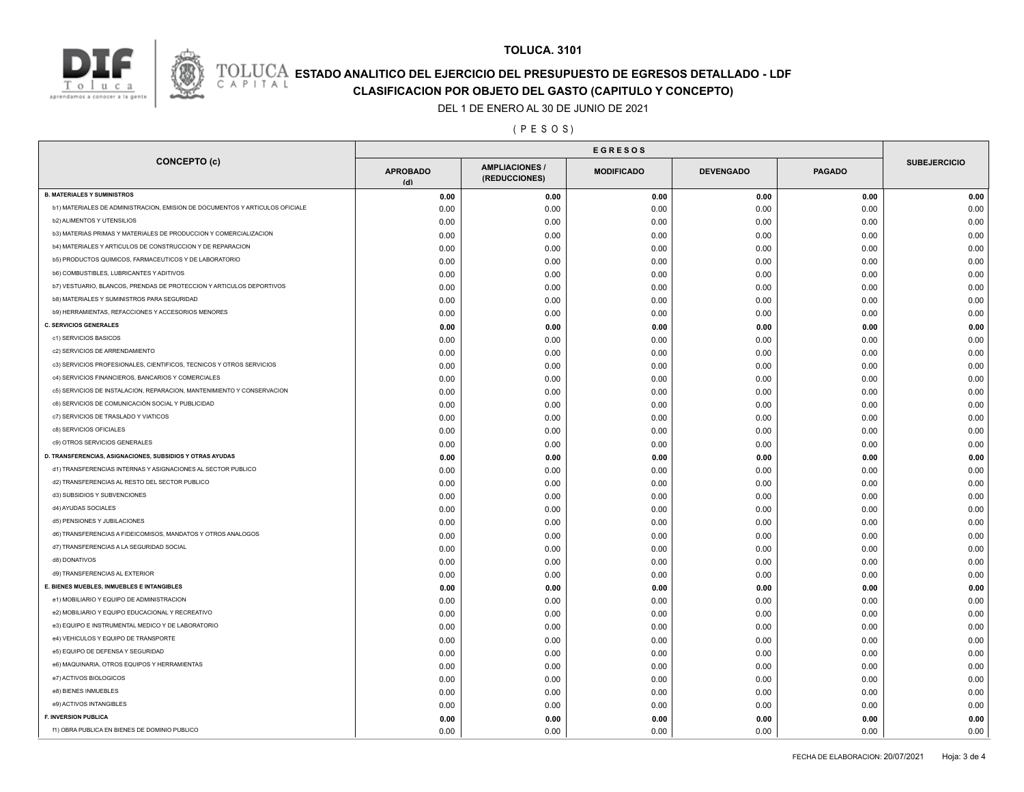

# **TOLUCA. 3101**

# **ESTADO ANALITICO DEL EJERCICIO DEL PRESUPUESTO DE EGRESOS DETALLADO - LDF**<br>CAPITAL CIASIFICACION POR OBJETO DEL GASTO (CAPITULO Y CONCEPTO)

**CLASIFICACION POR OBJETO DEL GASTO (CAPITULO Y CONCEPTO)**

DEL 1 DE ENERO AL 30 DE JUNIO DE 2021

( P E S O S )

| <b>CONCEPTO (c)</b>                                                          |                        |                                        |                   |                  | <b>EGRESOS</b> |                     |  |  |  |  |
|------------------------------------------------------------------------------|------------------------|----------------------------------------|-------------------|------------------|----------------|---------------------|--|--|--|--|
|                                                                              | <b>APROBADO</b><br>(d) | <b>AMPLIACIONES /</b><br>(REDUCCIONES) | <b>MODIFICADO</b> | <b>DEVENGADO</b> | <b>PAGADO</b>  | <b>SUBEJERCICIO</b> |  |  |  |  |
| <b>B. MATERIALES Y SUMINISTROS</b>                                           | 0.00                   | 0.00                                   | 0.00              | 0.00             | 0.00           | 0.00                |  |  |  |  |
| b1) MATERIALES DE ADMINISTRACION, EMISION DE DOCUMENTOS Y ARTICULOS OFICIALE | 0.00                   | 0.00                                   | 0.00              | 0.00             | 0.00           | 0.00                |  |  |  |  |
| <b>b2) ALIMENTOS Y UTENSILIOS</b>                                            | 0.00                   | 0.00                                   | 0.00              | 0.00             | 0.00           | 0.00                |  |  |  |  |
| b3) MATERIAS PRIMAS Y MATERIALES DE PRODUCCION Y COMERCIALIZACION            | 0.00                   | 0.00                                   | 0.00              | 0.00             | 0.00           | 0.00                |  |  |  |  |
| b4) MATERIALES Y ARTICULOS DE CONSTRUCCION Y DE REPARACION                   | 0.00                   | 0.00                                   | 0.00              | 0.00             | 0.00           | 0.00                |  |  |  |  |
| b5) PRODUCTOS QUIMICOS, FARMACEUTICOS Y DE LABORATORIO                       | 0.00                   | 0.00                                   | 0.00              | 0.00             | 0.00           | 0.00                |  |  |  |  |
| <b>b6) COMBUSTIBLES, LUBRICANTES Y ADITIVOS</b>                              | 0.00                   | 0.00                                   | 0.00              | 0.00             | 0.00           | 0.00                |  |  |  |  |
| b7) VESTUARIO, BLANCOS, PRENDAS DE PROTECCION Y ARTICULOS DEPORTIVOS         | 0.00                   | 0.00                                   | 0.00              | 0.00             | 0.00           | 0.00                |  |  |  |  |
| <b>b8) MATERIALES Y SUMINISTROS PARA SEGURIDAD</b>                           | 0.00                   | 0.00                                   | 0.00              | 0.00             | 0.00           | 0.00                |  |  |  |  |
| b9) HERRAMIENTAS, REFACCIONES Y ACCESORIOS MENORES                           | 0.00                   | 0.00                                   | 0.00              | 0.00             | 0.00           | 0.00                |  |  |  |  |
| <b>C. SERVICIOS GENERALES</b>                                                | 0.00                   | 0.00                                   | 0.00              | 0.00             | 0.00           | 0.00                |  |  |  |  |
| c1) SERVICIOS BASICOS                                                        | 0.00                   | 0.00                                   | 0.00              | 0.00             | 0.00           | 0.00                |  |  |  |  |
| c2) SERVICIOS DE ARRENDAMIENTO                                               | 0.00                   | 0.00                                   | 0.00              | 0.00             | 0.00           | 0.00                |  |  |  |  |
| c3) SERVICIOS PROFESIONALES, CIENTIFICOS, TECNICOS Y OTROS SERVICIOS         | 0.00                   | 0.00                                   | 0.00              | 0.00             | 0.00           | 0.00                |  |  |  |  |
| c4) SERVICIOS FINANCIEROS, BANCARIOS Y COMERCIALES                           | 0.00                   | 0.00                                   | 0.00              | 0.00             | 0.00           | 0.00                |  |  |  |  |
| c5) SERVICIOS DE INSTALACION, REPARACION, MANTENIMIENTO Y CONSERVACION       | 0.00                   | 0.00                                   | 0.00              | 0.00             | 0.00           | 0.00                |  |  |  |  |
| c6) SERVICIOS DE COMUNICACIÓN SOCIAL Y PUBLICIDAD                            | 0.00                   | 0.00                                   | 0.00              | 0.00             | 0.00           | 0.00                |  |  |  |  |
| c7) SERVICIOS DE TRASLADO Y VIATICOS                                         | 0.00                   | 0.00                                   | 0.00              | 0.00             | 0.00           | 0.00                |  |  |  |  |
| c8) SERVICIOS OFICIALES                                                      | 0.00                   | 0.00                                   | 0.00              | 0.00             | 0.00           | 0.00                |  |  |  |  |
| c9) OTROS SERVICIOS GENERALES                                                | 0.00                   | 0.00                                   | 0.00              | 0.00             | 0.00           | 0.00                |  |  |  |  |
| D. TRANSFERENCIAS, ASIGNACIONES, SUBSIDIOS Y OTRAS AYUDAS                    | 0.00                   | 0.00                                   | 0.00              | 0.00             | 0.00           | 0.00                |  |  |  |  |
| d1) TRANSFERENCIAS INTERNAS Y ASIGNACIONES AL SECTOR PUBLICO                 | 0.00                   | 0.00                                   | 0.00              | 0.00             | 0.00           | 0.00                |  |  |  |  |
| d2) TRANSFERENCIAS AL RESTO DEL SECTOR PUBLICO                               | 0.00                   | 0.00                                   | 0.00              | 0.00             | 0.00           | 0.00                |  |  |  |  |
| d3) SUBSIDIOS Y SUBVENCIONES                                                 | 0.00                   | 0.00                                   | 0.00              | 0.00             | 0.00           | 0.00                |  |  |  |  |
| d4) AYUDAS SOCIALES                                                          | 0.00                   | 0.00                                   | 0.00              | 0.00             | 0.00           | 0.00                |  |  |  |  |
| d5) PENSIONES Y JUBILACIONES                                                 | 0.00                   | 0.00                                   | 0.00              | 0.00             | 0.00           | 0.00                |  |  |  |  |
| d6) TRANSFERENCIAS A FIDEICOMISOS, MANDATOS Y OTROS ANALOGOS                 | 0.00                   | 0.00                                   | 0.00              | 0.00             | 0.00           | 0.00                |  |  |  |  |
| d7) TRANSFERENCIAS A LA SEGURIDAD SOCIAL                                     | 0.00                   | 0.00                                   | 0.00              | 0.00             | 0.00           | 0.00                |  |  |  |  |
| d8) DONATIVOS                                                                | 0.00                   | 0.00                                   | 0.00              | 0.00             | 0.00           | 0.00                |  |  |  |  |
| d9) TRANSFERENCIAS AL EXTERIOR                                               | 0.00                   | 0.00                                   | 0.00              | 0.00             | 0.00           | 0.00                |  |  |  |  |
| E. BIENES MUEBLES, INMUEBLES E INTANGIBLES                                   | 0.00                   | 0.00                                   | 0.00              | 0.00             | 0.00           | 0.00                |  |  |  |  |
| e1) MOBILIARIO Y EQUIPO DE ADMINISTRACION                                    | 0.00                   | 0.00                                   | 0.00              | 0.00             | 0.00           | 0.00                |  |  |  |  |
| e2) MOBILIARIO Y EQUIPO EDUCACIONAL Y RECREATIVO                             | 0.00                   | 0.00                                   | 0.00              | 0.00             | 0.00           | 0.00                |  |  |  |  |
| e3) EQUIPO E INSTRUMENTAL MEDICO Y DE LABORATORIO                            | 0.00                   | 0.00                                   | 0.00              | 0.00             | 0.00           | 0.00                |  |  |  |  |
| e4) VEHICULOS Y EQUIPO DE TRANSPORTE                                         | 0.00                   | 0.00                                   | 0.00              | 0.00             | 0.00           | 0.00                |  |  |  |  |
| e5) EQUIPO DE DEFENSA Y SEGURIDAD                                            | 0.00                   | 0.00                                   | 0.00              | 0.00             | 0.00           | 0.00                |  |  |  |  |
| e6) MAQUINARIA, OTROS EQUIPOS Y HERRAMIENTAS                                 | 0.00                   | 0.00                                   | 0.00              | 0.00             | 0.00           | 0.00                |  |  |  |  |
| e7) ACTIVOS BIOLOGICOS                                                       | 0.00                   | 0.00                                   | 0.00              | 0.00             | 0.00           | 0.00                |  |  |  |  |
| e8) BIENES INMUEBLES                                                         | 0.00                   | 0.00                                   | 0.00              | 0.00             | 0.00           | 0.00                |  |  |  |  |
| e9) ACTIVOS INTANGIBLES                                                      | 0.00                   | 0.00                                   | 0.00              | 0.00             | 0.00           | 0.00                |  |  |  |  |
| <b>F. INVERSION PUBLICA</b>                                                  |                        |                                        |                   |                  |                |                     |  |  |  |  |
| f1) OBRA PUBLICA EN BIENES DE DOMINIO PUBLICO                                | 0.00<br>0.00           | 0.00<br>0.00                           | 0.00<br>0.00      | 0.00<br>0.00     | 0.00<br>0.00   | 0.00<br>0.00        |  |  |  |  |